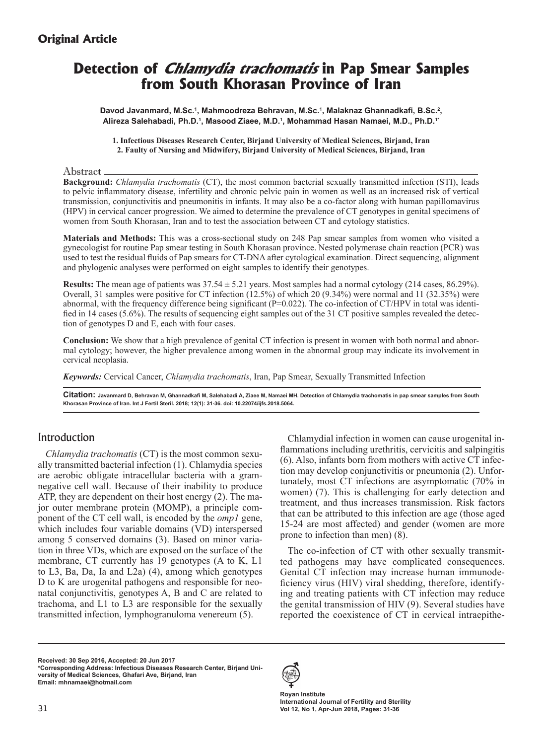# **Original Article**

# **Detection of Chlamydia trachomatis in Pap Smear Samples from South Khorasan Province of Iran**

Davod Javanmard, M.Sc.<sup>1</sup>, Mahmoodreza Behravan, M.Sc.<sup>1</sup>, Malaknaz Ghannadkafi, B.Sc.<sup>2</sup>, **Alireza Salehabadi, Ph.D.<sup>1</sup> , Masood Ziaee, M.D.<sup>1</sup> , Mohammad Hasan Namaei, M.D., Ph.D.1\***

**1. Infectious Diseases Research Center, Birjand University of Medical Sciences, Birjand, Iran 2. Faulty of Nursing and Midwifery, Birjand University of Medical Sciences, Birjand, Iran**

#### Abstract

**Background:** *Chlamydia trachomatis* (CT), the most common bacterial sexually transmitted infection (STI), leads to pelvic inflammatory disease, infertility and chronic pelvic pain in women as well as an increased risk of vertical transmission, conjunctivitis and pneumonitis in infants. It may also be a co-factor along with human papillomavirus (HPV) in cervical cancer progression. We aimed to determine the prevalence of CT genotypes in genital specimens of women from South Khorasan, Iran and to test the association between CT and cytology statistics.

**Materials and Methods:** This was a cross-sectional study on 248 Pap smear samples from women who visited a gynecologist for routine Pap smear testing in South Khorasan province. Nested polymerase chain reaction (PCR) was used to test the residual fluids of Pap smears for CT-DNA after cytological examination. Direct sequencing, alignment and phylogenic analyses were performed on eight samples to identify their genotypes.

**Results:** The mean age of patients was  $37.54 \pm 5.21$  years. Most samples had a normal cytology (214 cases,  $86.29\%$ ). Overall, 31 samples were positive for CT infection (12.5%) of which 20 (9.34%) were normal and 11 (32.35%) were abnormal, with the frequency difference being significant  $(P=0.022)$ . The co-infection of CT/HPV in total was identified in 14 cases (5.6%). The results of sequencing eight samples out of the 31 CT positive samples revealed the detection of genotypes D and E, each with four cases.

**Conclusion:** We show that a high prevalence of genital CT infection is present in women with both normal and abnormal cytology; however, the higher prevalence among women in the abnormal group may indicate its involvement in cervical neoplasia.

*Keywords:* Cervical Cancer, *Chlamydia trachomatis*, Iran, Pap Smear, Sexually Transmitted Infection

**Citation: Javanmard D, Behravan M, Ghannadkafi M, Salehabadi A, Ziaee M, Namaei MH. Detection of Chlamydia trachomatis in pap smear samples from South Khorasan Province of Iran. Int J Fertil Steril. 2018; 12(1): 31-36. doi: 10.22074/ijfs.2018.5064.**

# Introduction

*Chlamydia trachomatis* (CT) is the most common sexually transmitted bacterial infection (1). Chlamydia species are aerobic obligate intracellular bacteria with a gramnegative cell wall. Because of their inability to produce ATP, they are dependent on their host energy (2). The major outer membrane protein (MOMP), a principle component of the CT cell wall, is encoded by the *omp1* gene, which includes four variable domains (VD) interspersed among 5 conserved domains (3). Based on minor variation in three VDs, which are exposed on the surface of the membrane, CT currently has 19 genotypes (A to K, L1 to L3, Ba, Da, Ia and L2a) (4), among which genotypes D to K are urogenital pathogens and responsible for neonatal conjunctivitis, genotypes A, B and C are related to trachoma, and L1 to L3 are responsible for the sexually transmitted infection, lymphogranuloma venereum (5).

Chlamydial infection in women can cause urogenital inflammations including urethritis, cervicitis and salpingitis (6). Also, infants born from mothers with active CT infection may develop conjunctivitis or pneumonia (2). Unfortunately, most CT infections are asymptomatic (70% in women) (7). This is challenging for early detection and treatment, and thus increases transmission. Risk factors that can be attributed to this infection are age (those aged 15-24 are most affected) and gender (women are more prone to infection than men) (8).

The co-infection of CT with other sexually transmitted pathogens may have complicated consequences. Genital CT infection may increase human immunodeficiency virus (HIV) viral shedding, therefore, identifying and treating patients with CT infection may reduce the genital transmission of HIV (9). Several studies have reported the coexistence of CT in cervical intraepithe-

**Received: 30 Sep 2016, Accepted: 20 Jun 2017 \*Corresponding Address: Infectious Diseases Research Center, Birjand University of Medical Sciences, Ghafari Ave, Birjand, Iran Email: mhnamaei@hotmail.com**



**Royan Institute International Journal of Fertility and Sterility Vol 12, No 1, Apr-Jun 2018, Pages: 31-36**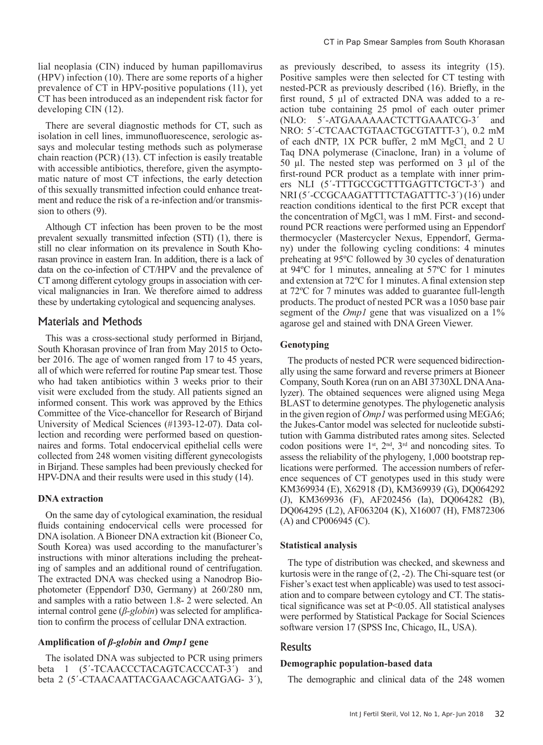lial neoplasia (CIN) induced by human papillomavirus (HPV) infection (10). There are some reports of a higher prevalence of CT in HPV-positive populations (11), yet CT has been introduced as an independent risk factor for developing CIN (12).

There are several diagnostic methods for CT, such as isolation in cell lines, immunofluorescence, serologic assays and molecular testing methods such as polymerase chain reaction (PCR) (13). CT infection is easily treatable with accessible antibiotics, therefore, given the asymptomatic nature of most CT infections, the early detection of this sexually transmitted infection could enhance treatment and reduce the risk of a re-infection and/or transmission to others (9).

Although CT infection has been proven to be the most prevalent sexually transmitted infection (STI) (1), there is still no clear information on its prevalence in South Khorasan province in eastern Iran. In addition, there is a lack of data on the co-infection of CT/HPV and the prevalence of CT among different cytology groups in association with cervical malignancies in Iran. We therefore aimed to address these by undertaking cytological and sequencing analyses.

# Materials and Methods

This was a cross-sectional study performed in Birjand, South Khorasan province of Iran from May 2015 to October 2016. The age of women ranged from 17 to 45 years, all of which were referred for routine Pap smear test. Those who had taken antibiotics within 3 weeks prior to their visit were excluded from the study. All patients signed an informed consent. This work was approved by the Ethics Committee of the Vice-chancellor for Research of Birjand University of Medical Sciences (#1393-12-07). Data collection and recording were performed based on questionnaires and forms. Total endocervical epithelial cells were collected from 248 women visiting different gynecologists in Birjand. These samples had been previously checked for HPV-DNA and their results were used in this study (14).

#### **DNA extraction**

On the same day of cytological examination, the residual fluids containing endocervical cells were processed for DNA isolation. A Bioneer DNA extraction kit (Bioneer Co, South Korea) was used according to the manufacturer's instructions with minor alterations including the preheating of samples and an additional round of centrifugation. The extracted DNA was checked using a Nanodrop Biophotometer (Eppendorf D30, Germany) at 260/280 nm, and samples with a ratio between 1.8- 2 were selected. An internal control gene (*β-globin*) was selected for amplification to confirm the process of cellular DNA extraction.

# **Amplification of** *β-globin* **and** *Omp1* **gene**

The isolated DNA was subjected to PCR using primers beta 1 (5ʹ-TCAACCCTACAGTCACCCAT-3ʹ) and beta 2 (5ʹ-CTAACAATTACGAACAGCAATGAG- 3ʹ), as previously described, to assess its integrity (15). Positive samples were then selected for CT testing with nested-PCR as previously described (16). Briefly, in the first round, 5 µl of extracted DNA was added to a reaction tube containing 25 pmol of each outer primer (NLO: 5ʹ-ATGAAAAAACTCTTGAAATCG-3ʹ and NRO: 5ʹ-CTCAACTGTAACTGCGTATTT-3ʹ), 0.2 mM of each dNTP, 1X PCR buffer, 2 mM  $MgCl<sub>2</sub>$  and 2 U Taq DNA polymerase (Cinaclone, Iran) in a volume of 50 µl. The nested step was performed on 3 µl of the first-round PCR product as a template with inner primers NLI (5ʹ-TTTGCCGCTTTGAGTTCTGCT-3ʹ) and NRI (5ʹ-CCGCAAGATTTTCTAGATTTC-3ʹ) (16) under reaction conditions identical to the first PCR except that the concentration of MgCl<sub>2</sub> was 1 mM. First- and secondround PCR reactions were performed using an Eppendorf thermocycler (Mastercycler Nexus, Eppendorf, Germany) under the following cycling conditions: 4 minutes preheating at 95ºC followed by 30 cycles of denaturation at 94ºC for 1 minutes, annealing at 57ºC for 1 minutes and extension at 72ºC for 1 minutes. A final extension step at 72ºC for 7 minutes was added to guarantee full-length products. The product of nested PCR was a 1050 base pair segment of the *Omp1* gene that was visualized on a 1% agarose gel and stained with DNA Green Viewer.

# **Genotyping**

The products of nested PCR were sequenced bidirectionally using the same forward and reverse primers at Bioneer Company, South Korea (run on an ABI 3730XL DNA Analyzer). The obtained sequences were aligned using Mega BLAST to determine genotypes. The phylogenetic analysis in the given region of *Omp1* was performed using MEGA6; the Jukes-Cantor model was selected for nucleotide substitution with Gamma distributed rates among sites. Selected codon positions were  $1<sup>st</sup>$ ,  $2<sup>nd</sup>$ ,  $3<sup>rd</sup>$  and noncoding sites. To assess the reliability of the phylogeny, 1,000 bootstrap replications were performed. The accession numbers of reference sequences of CT genotypes used in this study were KM369934 (E), X62918 (D), KM369939 (G), DQ064292 (J), KM369936 (F), AF202456 (Ia), DQ064282 (B), DQ064295 (L2), AF063204 (K), X16007 (H), FM872306 (A) and CP006945 (C).

#### **Statistical analysis**

The type of distribution was checked, and skewness and kurtosis were in the range of (2, -2). The Chi-square test (or Fisher's exact test when applicable) was used to test association and to compare between cytology and CT. The statistical significance was set at P<0.05. All statistical analyses were performed by Statistical Package for Social Sciences software version 17 (SPSS Inc, Chicago, IL, USA).

# Results

#### **Demographic population-based data**

The demographic and clinical data of the 248 women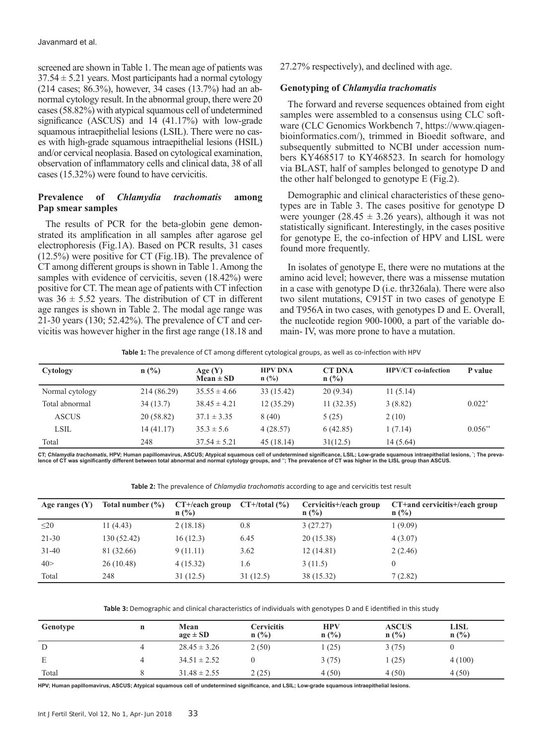screened are shown in Table 1. The mean age of patients was  $37.54 \pm 5.21$  years. Most participants had a normal cytology (214 cases; 86.3%), however, 34 cases (13.7%) had an abnormal cytology result. In the abnormal group, there were 20 cases (58.82%) with atypical squamous cell of undetermined significance (ASCUS) and 14 (41.17%) with low-grade squamous intraepithelial lesions (LSIL). There were no cases with high-grade squamous intraepithelial lesions (HSIL) and/or cervical neoplasia. Based on cytological examination, observation of inflammatory cells and clinical data, 38 of all cases (15.32%) were found to have cervicitis.

# **Prevalence of** *Chlamydia trachomatis* **among Pap smear samples**

The results of PCR for the beta-globin gene demonstrated its amplification in all samples after agarose gel electrophoresis (Fig.1A). Based on PCR results, 31 cases (12.5%) were positive for CT (Fig.1B). The prevalence of CT among different groups is shown in Table 1. Among the samples with evidence of cervicitis, seven (18.42%) were positive for CT. The mean age of patients with CT infection was  $36 \pm 5.52$  years. The distribution of CT in different age ranges is shown in Table 2. The modal age range was 21-30 years (130; 52.42%). The prevalence of CT and cervicitis was however higher in the first age range (18.18 and 27.27% respectively), and declined with age.

#### **Genotyping of** *Chlamydia trachomatis*

The forward and reverse sequences obtained from eight samples were assembled to a consensus using CLC software (CLC Genomics Workbench 7, https://www.qiagenbioinformatics.com/), trimmed in Bioedit software, and subsequently submitted to NCBI under accession numbers KY468517 to KY468523. In search for homology via BLAST, half of samples belonged to genotype D and the other half belonged to genotype E (Fig.2).

Demographic and clinical characteristics of these genotypes are in Table 3. The cases positive for genotype D were younger  $(28.45 \pm 3.26 \text{ years})$ , although it was not statistically significant. Interestingly, in the cases positive for genotype E, the co-infection of HPV and LISL were found more frequently.

In isolates of genotype E, there were no mutations at the amino acid level; however, there was a missense mutation in a case with genotype D (i.e. thr326ala). There were also two silent mutations, C915T in two cases of genotype E and T956A in two cases, with genotypes D and E. Overall, the nucleotide region 900-1000, a part of the variable domain- ІV, was more prone to have a mutation.

**Table 1:** The prevalence of CT among different cytological groups, as well as co-infection with HPV

| Cytology        | $n$ (%)     | Age $(Y)$<br>$Mean \pm SD$ | <b>HPV DNA</b><br>$n$ (%) | <b>CT DNA</b><br>$n$ (%) | <b>HPV/CT</b> co-infection | P value   |
|-----------------|-------------|----------------------------|---------------------------|--------------------------|----------------------------|-----------|
| Normal cytology | 214 (86.29) | $35.55 \pm 4.66$           | 33 (15.42)                | 20(9.34)                 | 11(5.14)                   |           |
| Total abnormal  | 34(13.7)    | $38.45 \pm 4.21$           | 12(35.29)                 | 11(32.35)                | 3(8.82)                    | $0.022*$  |
| <b>ASCUS</b>    | 20 (58.82)  | $37.1 \pm 3.35$            | 8(40)                     | 5(25)                    | 2(10)                      |           |
| LSIL            | 14 (41.17)  | $35.3 \pm 5.6$             | 4(28.57)                  | 6(42.85)                 | 1 (7.14)                   | $0.056**$ |
| Total           | 248         | $37.54 \pm 5.21$           | 45(18.14)                 | 31(12.5)                 | 14 (5.64)                  |           |

**CT;** *Chlamydia trachomatis***, HPV; Human papillomavirus, ASCUS; Atypical squamous cell of undetermined significance, LSIL; Low-grade squamous intraepithelial lesions, \* ; The preva**lence of CT was significantly different between total abnormal and normal cytology groups, and "; The prevalence of CT was higher in the LISL group than ASCUS.

**Table 2:** The prevalence of *Chlamydia trachomatis* according to age and cervicitis test result

| Age ranges $(Y)$ | Total number (%) | $CT + / each group$<br>$n$ (%) | $CT+$ /total $(\% )$ | Cervicitis+/each group<br>$n$ (%) | CT+and cervicitis+/each group<br>$n$ (%) |
|------------------|------------------|--------------------------------|----------------------|-----------------------------------|------------------------------------------|
| $\leq$ 20        | 11 (4.43)        | 2(18.18)                       | 0.8                  | 3(27.27)                          | 1(9.09)                                  |
| $21 - 30$        | 130 (52.42)      | 16(12.3)                       | 6.45                 | 20(15.38)                         | 4(3.07)                                  |
| $31 - 40$        | 81 (32.66)       | 9(11.11)                       | 3.62                 | 12 (14.81)                        | 2(2.46)                                  |
| 40>              | 26(10.48)        | 4(15.32)                       | 1.6                  | 3(11.5)                           |                                          |
| Total            | 248              | 31(12.5)                       | 31(12.5)             | 38 (15.32)                        | 7(2.82)                                  |

**Table 3:** Demographic and clinical characteristics of individuals with genotypes D and E identified in this study

| Genotype | n | Mean<br>$age \pm SD$ | <b>Cervicitis</b><br>n(%) | <b>HPV</b><br>$n$ (%) | <b>ASCUS</b><br>$n$ (%) | <b>LISL</b><br>$n(^{0}/_{0})$ |
|----------|---|----------------------|---------------------------|-----------------------|-------------------------|-------------------------------|
| D        |   | $28.45 \pm 3.26$     | 2(50)                     | (25)                  | 3(75)                   |                               |
| E        |   | $34.51 \pm 2.52$     |                           | 3(75)                 | (25)                    | 4(100)                        |
| Total    |   | $31.48 \pm 2.55$     | 2(25)                     | 4(50)                 | 4(50)                   | 4(50)                         |

**HPV; Human papillomavirus, ASCUS; Atypical squamous cell of undetermined significance, and LSIL; Low-grade squamous intraepithelial lesions.**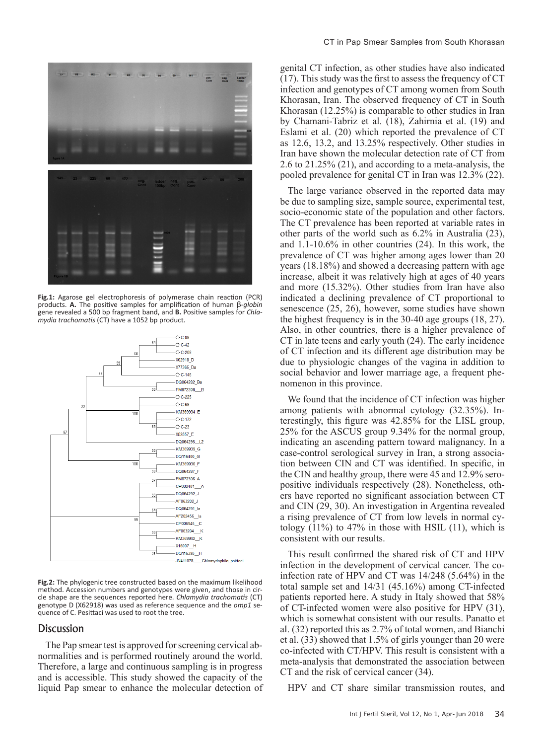

**Fig.1:** Agarose gel electrophoresis of polymerase chain reaction (PCR) products. **A.** The positive samples for amplification of human β*-globin*  gene revealed a 500 bp fragment band, and **B.** Positive samples for *Chlamydia trachomatis* (CT) have a 1052 bp product.



Fig.2: The phylogenic tree constructed based on the maximum likelihood method. Accession numbers and genotypes were given, and those in circle shape are the sequences reported here. *Chlamydia trachomatis* (CT) genotype D (X62918) was used as reference sequence and the *omp1* se- quence of C. Pesittaci was used to root the tree.

# Discussion

The Pap smear test is approved for screening cervical abnormalities and is performed routinely around the world. Therefore, a large and continuous sampling is in progress and is accessible. This study showed the capacity of the liquid Pap smear to enhance the molecular detection of

#### CT in Pap Smear Samples from South Khorasan

genital CT infection, as other studies have also indicated (17). This study was the first to assess the frequency of CT infection and genotypes of CT among women from South Khorasan, Iran. The observed frequency of CT in South Khorasan (12.25%) is comparable to other studies in Iran by Chamani-Tabriz et al. (18), Zahirnia et al. (19) and Eslami et al. (20) which reported the prevalence of CT as 12.6, 13.2, and 13.25% respectively. Other studies in Iran have shown the molecular detection rate of CT from 2.6 to 21.25% (21), and according to a meta-analysis, the pooled prevalence for genital CT in Iran was 12.3% (22).

The large variance observed in the reported data may be due to sampling size, sample source, experimental test, socio-economic state of the population and other factors. The CT prevalence has been reported at variable rates in other parts of the world such as 6.2% in Australia (23), and 1.1-10.6% in other countries (24). In this work, the prevalence of CT was higher among ages lower than 20 years (18.18%) and showed a decreasing pattern with age increase, albeit it was relatively high at ages of 40 years and more (15.32%). Other studies from Iran have also indicated a declining prevalence of CT proportional to senescence (25, 26), however, some studies have shown the highest frequency is in the 30-40 age groups (18, 27). Also, in other countries, there is a higher prevalence of CT in late teens and early youth (24). The early incidence of CT infection and its different age distribution may be due to physiologic changes of the vagina in addition to social behavior and lower marriage age, a frequent phenomenon in this province.

We found that the incidence of CT infection was higher among patients with abnormal cytology (32.35%). Interestingly, this figure was 42.85% for the LISL group, 25% for the ASCUS group 9.34% for the normal group, indicating an ascending pattern toward malignancy. In a case-control serological survey in Iran, a strong association between CIN and CT was identified. In specific, in the CIN and healthy group, there were 45 and 12.9% seropositive individuals respectively (28). Nonetheless, others have reported no significant association between CT and CIN (29, 30). An investigation in Argentina revealed a rising prevalence of CT from low levels in normal cytology  $(11\%)$  to 47% in those with HSIL  $(11)$ , which is consistent with our results.

This result confirmed the shared risk of CT and HPV infection in the development of cervical cancer. The coinfection rate of HPV and CT was 14/248 (5.64%) in the total sample set and 14/31 (45.16%) among CT-infected patients reported here. A study in Italy showed that 58% of CT-infected women were also positive for HPV (31), which is somewhat consistent with our results. Panatto et al. (32) reported this as 2.7% of total women, and Bianchi et al. (33) showed that 1.5% of girls younger than 20 were co-infected with CT/HPV. This result is consistent with a meta-analysis that demonstrated the association between CT and the risk of cervical cancer (34).

HPV and CT share similar transmission routes, and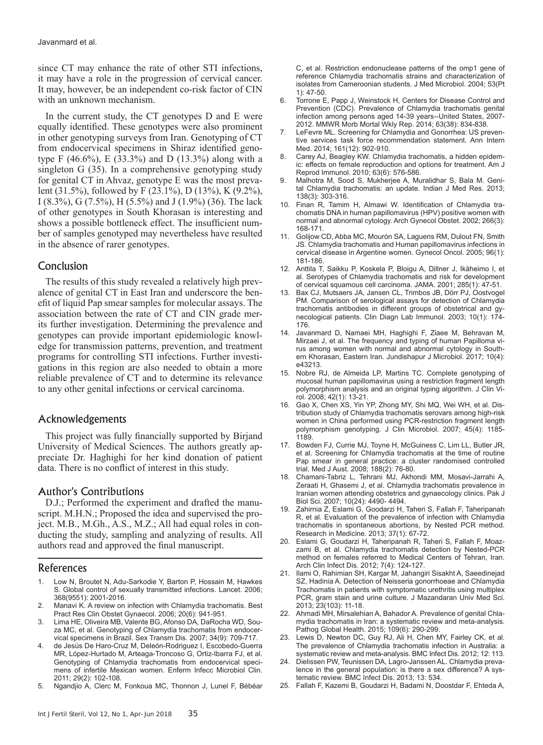since CT may enhance the rate of other STI infections, it may have a role in the progression of cervical cancer. It may, however, be an independent co-risk factor of CIN with an unknown mechanism.

In the current study, the CT genotypes D and E were equally identified. These genotypes were also prominent in other genotyping surveys from Iran. Genotyping of CT from endocervical specimens in Shiraz identified genotype F (46.6%), E (33.3%) and D (13.3%) along with a singleton G (35). In a comprehensive genotyping study for genital CT in Ahvaz, genotype E was the most prevalent (31.5%), followed by F (23.1%), D (13%), K (9.2%), I (8.3%), G (7.5%), H (5.5%) and J (1.9%) (36). The lack of other genotypes in South Khorasan is interesting and shows a possible bottleneck effect. The insufficient number of samples genotyped may nevertheless have resulted in the absence of rarer genotypes.

#### Conclusion

The results of this study revealed a relatively high prevalence of genital CT in East Iran and underscore the benefit of liquid Pap smear samples for molecular assays. The association between the rate of CT and CIN grade merits further investigation. Determining the prevalence and genotypes can provide important epidemiologic knowledge for transmission patterns, prevention, and treatment programs for controlling STI infections. Further investigations in this region are also needed to obtain a more reliable prevalence of CT and to determine its relevance to any other genital infections or cervical carcinoma.

# Acknowledgements

This project was fully financially supported by Birjand University of Medical Sciences. The authors greatly appreciate Dr. Haghighi for her kind donation of patient data. There is no conflict of interest in this study.

# Author's Contributions

D.J.; Performed the experiment and drafted the manuscript. M.H.N.; Proposed the idea and supervised the project. M.B., M.Gh., A.S., M.Z.; All had equal roles in conducting the study, sampling and analyzing of results. All authors read and approved the final manuscript.

#### References

- 1. Low N, Broutet N, Adu-Sarkodie Y, Barton P, Hossain M, Hawkes S. Global control of sexually transmitted infections. Lancet. 2006; 368(9551): 2001-2016.
- 2. Manavi K. A review on infection with Chlamydia trachomatis. Best Pract Res Clin Obstet Gynaecol. 2006; 20(6): 941-951.
- 3. Lima HE, Oliveira MB, Valente BG, Afonso DA, DaRocha WD, Souza MC, et al. Genotyping of Chlamydia trachomatis from endocervical specimens in Brazil. Sex Transm Dis. 2007; 34(9): 709-717.
- 4. de Jesús De Haro-Cruz M, Deleón-Rodriguez I, Escobedo-Guerra MR, López-Hurtado M, Arteaga-Troncoso G, Ortiz-Ibarra FJ, et al. Genotyping of Chlamydia trachomatis from endocervical specimens of infertile Mexican women. Enferm Infecc Microbiol Clin. 2011; 29(2): 102-108.
- 5. Ngandjio A, Clerc M, Fonkoua MC, Thonnon J, Lunel F, Bébéar

C, et al. Restriction endonuclease patterns of the omp1 gene of reference Chlamydia trachomatis strains and characterization of isolates from Cameroonian students. J Med Microbiol. 2004; 53(Pt 1): 47-50.

- 6. Torrone E, Papp J, Weinstock H, Centers for Disease Control and Prevention (CDC). Prevalence of Chlamydia trachomatis genital infection among persons aged 14-39 years--United States, 2007- 2012. MMWR Morb Mortal Wkly Rep. 2014; 63(38): 834-838.
- LeFevre ML. Screening for Chlamydia and Gonorrhea: US preventive services task force recommendation statement. Ann Intern Med. 2014; 161(12): 902-910.
- 8. Carey AJ, Beagley KW. Chlamydia trachomatis, a hidden epidemic: effects on female reproduction and options for treatment. Am J Reprod Immunol. 2010; 63(6): 576-586.
- 9. Malhotra M, Sood S, Mukherjee A, Muralidhar S, Bala M. Genital Chlamydia trachomatis: an update. Indian J Med Res. 2013; 138(3): 303-316.
- 10. Finan R, Tamim H, Almawi W. Identification of Chlamydia trachomatis DNA in human papillomavirus (HPV) positive women with normal and abnormal cytology. Arch Gynecol Obstet. 2002; 266(3): 168-171.
- 11. Golijow CD, Abba MC, Mourón SA, Laguens RM, Dulout FN, Smith JS. Chlamydia trachomatis and Human papillomavirus infections in cervical disease in Argentine women. Gynecol Oncol. 2005; 96(1): 181-186.
- 12. Anttila T, Saikku P, Koskela P, Bloigu A, Dillner J, Ikäheimo I, et al. Serotypes of Chlamydia trachomatis and risk for development of cervical squamous cell carcinoma. JAMA. 2001; 285(1): 47-51.
- Bax CJ, Mutsaers JA, Jansen CL, Trimbos JB, Dörr PJ, Oostvogel PM. Comparison of serological assays for detection of Chlamydia trachomatis antibodies in different groups of obstetrical and gynecological patients. Clin Diagn Lab Immunol. 2003; 10(1): 174- 176.
- 14. Javanmard D, Namaei MH, Haghighi F, Ziaee M, Behravan M, Mirzaei J, et al. The frequency and typing of human Papilloma virus among women with normal and abnormal cytology in Southern Khorasan, Eastern Iran. Jundishapur J Microbiol. 2017; 10(4): e43213.
- 15. Nobre RJ, de Almeida LP, Martins TC. Complete genotyping of mucosal human papillomavirus using a restriction fragment length polymorphism analysis and an original typing algorithm. J Clin Virol. 2008; 42(1): 13-21.
- 16. Gao X, Chen XS, Yin YP, Zhong MY, Shi MQ, Wei WH, et al. Distribution study of Chlamydia trachomatis serovars among high-risk women in China performed using PCR-restriction fragment length polymorphism genotyping. J Clin Microbiol. 2007; 45(4): 1185- 1189.
- 17. Bowden FJ, Currie MJ, Toyne H, McGuiness C, Lim LL, Butler JR, et al. Screening for Chlamydia trachomatis at the time of routine Pap smear in general practice: a cluster randomised controlled trial. Med J Aust. 2008; 188(2): 76-80.
- 18. Chamani-Tabriz L, Tehrani MJ, Akhondi MM, Mosavi-Jarrahi A, Zeraati H, Ghasemi J, et al. Chlamydia trachomatis prevalence in Iranian women attending obstetrics and gynaecology clinics. Pak J Biol Sci. 2007; 10(24): 4490- 4494.
- 19. Zahirnia Z, Eslami G, Goodarzi H, Taheri S, Fallah F, Taheripanah R, et al. Evaluation of the prevalence of infection with Chlamydia trachomatis in spontaneous abortions, by Nested PCR method. Research in Medicine. 2013; 37(1): 67-72.
- 20. Eslami G, Goudarzi H, Taheripanah R, Taheri S, Fallah F, Moazzami B, et al. Chlamydia trachomatis detection by Nested-PCR method on females referred to Medical Centers of Tehran, Iran. Arch Clin Infect Dis. 2012; 7(4): 124-127.
- 21. Ilami O, Rahimian SH, Kargar M, Jahangiri Sisakht A, Saeedinejad SZ, Hadinia A. Detection of Neisseria gonorrhoeae and Chlamydia Trachomatis in patients with symptomatic urethritis using multiplex PCR, gram stain and urine culture. J Mazandaran Univ Med Sci. 2013; 23(103): 11-18.
- 22. Ahmadi MH, Mirsalehian A, Bahador A. Prevalence of genital Chlamydia trachomatis in Iran: a systematic review and meta-analysis. Pathog Global Health. 2015; 109(6): 290-299.
- 23. Lewis D, Newton DC, Guy RJ, Ali H, Chen MY, Fairley CK, et al. The prevalence of Chlamydia trachomatis infection in Australia: a systematic review and meta-analysis. BMC Infect Dis. 2012; 12: 113.
- 24. Dielissen PW, Teunissen DA, Lagro-Janssen AL. Chlamydia prevalence in the general population: is there a sex difference? A systematic review. BMC Infect Dis. 2013; 13: 534.
- 25. Fallah F, Kazemi B, Goudarzi H, Badami N, Doostdar F, Ehteda A,